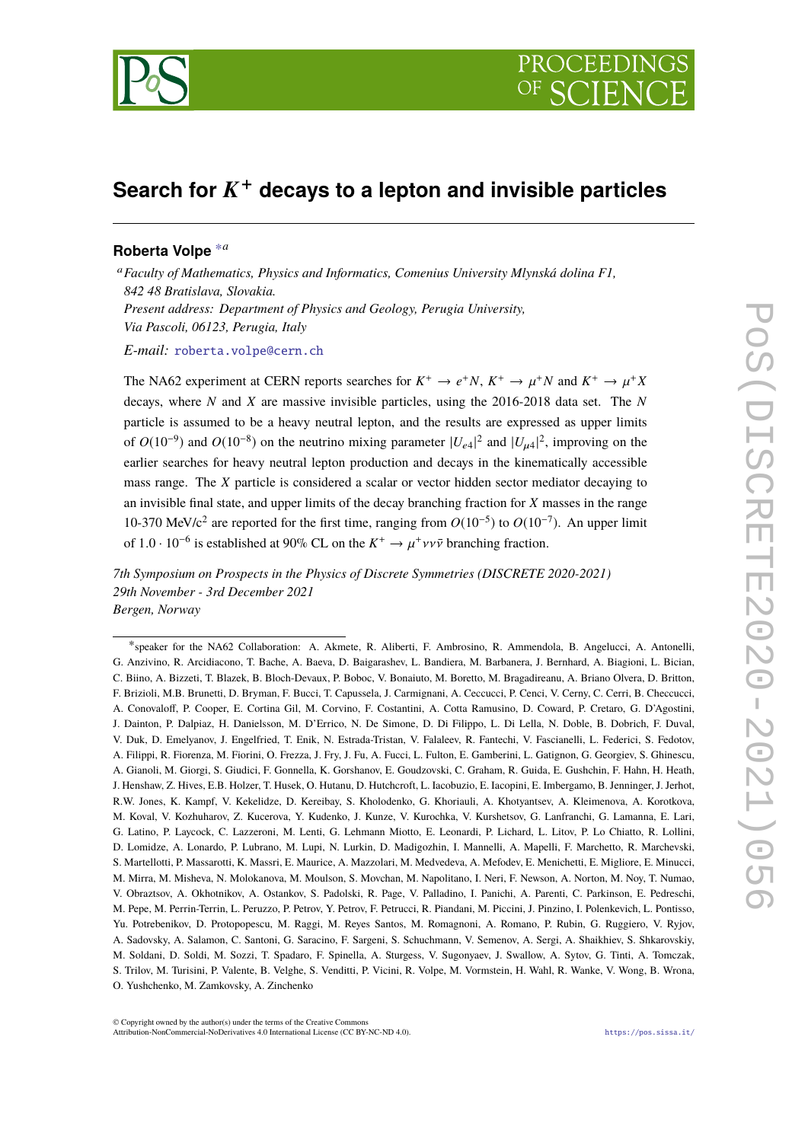

## **Search for** K <sup>+</sup> **decays to a lepton and invisible particles**

## **Roberta Volpe** [∗](#page-0-0)*<sup>a</sup>*

<sup>a</sup>*Faculty of Mathematics, Physics and Informatics, Comenius University Mlynská dolina F1, 842 48 Bratislava, Slovakia. Present address: Department of Physics and Geology, Perugia University, Via Pascoli, 06123, Perugia, Italy*

*E-mail:* [roberta.volpe@cern.ch](mailto:roberta.volpe@cern.ch)

The NA62 experiment at CERN reports searches for  $K^+ \to e^+N$ ,  $K^+ \to \mu^+N$  and  $K^+ \to \mu^+X$ decays, where *N* and *X* are massive invisible particles, using the 2016-2018 data set. The *N* particle is assumed to be a heavy neutral lepton, and the results are expressed as upper limits of  $O(10^{-9})$  and  $O(10^{-8})$  on the neutrino mixing parameter  $|U_{e4}|^2$  and  $|U_{\mu 4}|^2$ , improving on the earlier searches for heavy neutral lepton production and decays in the kinematically accessible mass range. The *X* particle is considered a scalar or vector hidden sector mediator decaying to an invisible final state, and upper limits of the decay branching fraction for *X* masses in the range 10-370 MeV/c<sup>2</sup> are reported for the first time, ranging from *O*(10−<sup>5</sup> ) to *O*(10−<sup>7</sup> ). An upper limit of  $1.0 \cdot 10^{-6}$  is established at 90% CL on the  $K^+ \to \mu^+ \nu \nu \bar{\nu}$  branching fraction.

*7th Symposium on Prospects in the Physics of Discrete Symmetries (DISCRETE 2020-2021) 29th November - 3rd December 2021 Bergen, Norway*

<span id="page-0-0"></span><sup>∗</sup> speaker for the NA62 Collaboration: A. Akmete, R. Aliberti, F. Ambrosino, R. Ammendola, B. Angelucci, A. Antonelli, G. Anzivino, R. Arcidiacono, T. Bache, A. Baeva, D. Baigarashev, L. Bandiera, M. Barbanera, J. Bernhard, A. Biagioni, L. Bician, C. Biino, A. Bizzeti, T. Blazek, B. Bloch-Devaux, P. Boboc, V. Bonaiuto, M. Boretto, M. Bragadireanu, A. Briano Olvera, D. Britton, F. Brizioli, M.B. Brunetti, D. Bryman, F. Bucci, T. Capussela, J. Carmignani, A. Ceccucci, P. Cenci, V. Cerny, C. Cerri, B. Checcucci, A. Conovaloff, P. Cooper, E. Cortina Gil, M. Corvino, F. Costantini, A. Cotta Ramusino, D. Coward, P. Cretaro, G. D'Agostini, J. Dainton, P. Dalpiaz, H. Danielsson, M. D'Errico, N. De Simone, D. Di Filippo, L. Di Lella, N. Doble, B. Dobrich, F. Duval, V. Duk, D. Emelyanov, J. Engelfried, T. Enik, N. Estrada-Tristan, V. Falaleev, R. Fantechi, V. Fascianelli, L. Federici, S. Fedotov, A. Filippi, R. Fiorenza, M. Fiorini, O. Frezza, J. Fry, J. Fu, A. Fucci, L. Fulton, E. Gamberini, L. Gatignon, G. Georgiev, S. Ghinescu, A. Gianoli, M. Giorgi, S. Giudici, F. Gonnella, K. Gorshanov, E. Goudzovski, C. Graham, R. Guida, E. Gushchin, F. Hahn, H. Heath, J. Henshaw, Z. Hives, E.B. Holzer, T. Husek, O. Hutanu, D. Hutchcroft, L. Iacobuzio, E. Iacopini, E. Imbergamo, B. Jenninger, J. Jerhot, R.W. Jones, K. Kampf, V. Kekelidze, D. Kereibay, S. Kholodenko, G. Khoriauli, A. Khotyantsev, A. Kleimenova, A. Korotkova, M. Koval, V. Kozhuharov, Z. Kucerova, Y. Kudenko, J. Kunze, V. Kurochka, V. Kurshetsov, G. Lanfranchi, G. Lamanna, E. Lari, G. Latino, P. Laycock, C. Lazzeroni, M. Lenti, G. Lehmann Miotto, E. Leonardi, P. Lichard, L. Litov, P. Lo Chiatto, R. Lollini, D. Lomidze, A. Lonardo, P. Lubrano, M. Lupi, N. Lurkin, D. Madigozhin, I. Mannelli, A. Mapelli, F. Marchetto, R. Marchevski, S. Martellotti, P. Massarotti, K. Massri, E. Maurice, A. Mazzolari, M. Medvedeva, A. Mefodev, E. Menichetti, E. Migliore, E. Minucci, M. Mirra, M. Misheva, N. Molokanova, M. Moulson, S. Movchan, M. Napolitano, I. Neri, F. Newson, A. Norton, M. Noy, T. Numao, V. Obraztsov, A. Okhotnikov, A. Ostankov, S. Padolski, R. Page, V. Palladino, I. Panichi, A. Parenti, C. Parkinson, E. Pedreschi, M. Pepe, M. Perrin-Terrin, L. Peruzzo, P. Petrov, Y. Petrov, F. Petrucci, R. Piandani, M. Piccini, J. Pinzino, I. Polenkevich, L. Pontisso, Yu. Potrebenikov, D. Protopopescu, M. Raggi, M. Reyes Santos, M. Romagnoni, A. Romano, P. Rubin, G. Ruggiero, V. Ryjov, A. Sadovsky, A. Salamon, C. Santoni, G. Saracino, F. Sargeni, S. Schuchmann, V. Semenov, A. Sergi, A. Shaikhiev, S. Shkarovskiy, M. Soldani, D. Soldi, M. Sozzi, T. Spadaro, F. Spinella, A. Sturgess, V. Sugonyaev, J. Swallow, A. Sytov, G. Tinti, A. Tomczak, S. Trilov, M. Turisini, P. Valente, B. Velghe, S. Venditti, P. Vicini, R. Volpe, M. Vormstein, H. Wahl, R. Wanke, V. Wong, B. Wrona, O. Yushchenko, M. Zamkovsky, A. Zinchenko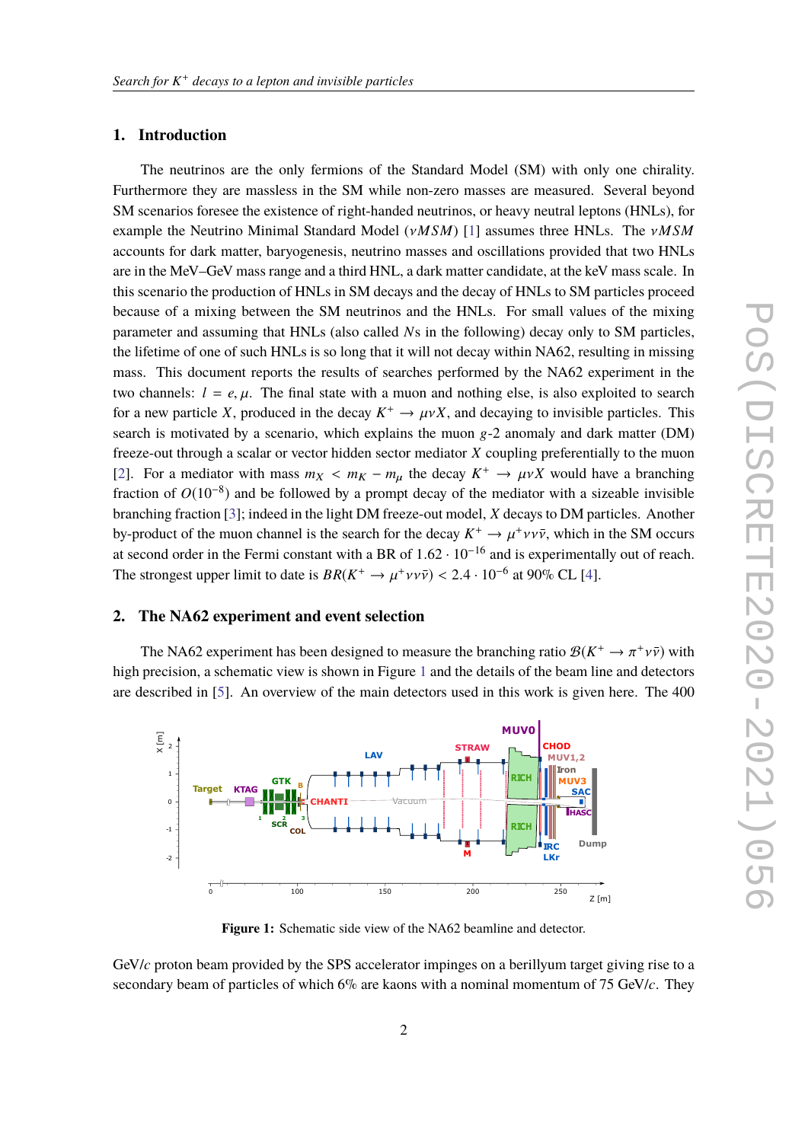## **1. Introduction**

The neutrinos are the only fermions of the Standard Model (SM) with only one chirality. Furthermore they are massless in the SM while non-zero masses are measured. Several beyond SM scenarios foresee the existence of right-handed neutrinos, or heavy neutral leptons (HNLs), for example the Neutrino Minimal Standard Model (ν*MSM*) [\[1\]](#page-5-0) assumes three HNLs. The ν*MSM* accounts for dark matter, baryogenesis, neutrino masses and oscillations provided that two HNLs are in the MeV–GeV mass range and a third HNL, a dark matter candidate, at the keV mass scale. In this scenario the production of HNLs in SM decays and the decay of HNLs to SM particles proceed because of a mixing between the SM neutrinos and the HNLs. For small values of the mixing parameter and assuming that HNLs (also called *N*s in the following) decay only to SM particles, the lifetime of one of such HNLs is so long that it will not decay within NA62, resulting in missing mass. This document reports the results of searches performed by the NA62 experiment in the two channels:  $l = e, \mu$ . The final state with a muon and nothing else, is also exploited to search for a new particle *X*, produced in the decay  $K^+ \to \mu \nu X$ , and decaying to invisible particles. This search is motivated by a scenario, which explains the muon  $g - 2$  anomaly and dark matter (DM) freeze-out through a scalar or vector hidden sector mediator *X* coupling preferentially to the muon [\[2\]](#page-5-1). For a mediator with mass  $m_X < m_K - m_\mu$  the decay  $K^+ \to \mu \nu X$  would have a branching<br>freation of  $O(10^{-8})$  and he followed by a grount decay of the mediator with a circable invisible fraction of  $O(10^{-8})$  and be followed by a prompt decay of the mediator with a sizeable invisible branching fraction [\[3\]](#page-5-2); indeed in the light DM freeze-out model, *X* decays to DM particles. Another by-product of the muon channel is the search for the decay  $K^+ \to \mu^+ \nu \nu \bar{\nu}$ , which in the SM occurs<br>of second order in the Fermi constant with a BB of 1.62, 10<sup>-16</sup> and is synonimentally out of reach at second order in the Fermi constant with a BR of  $1.62 \cdot 10^{-16}$  and is experimentally out of reach. The strongest upper limit to date is  $BR(K^+ \to \mu^+ \nu \nu \bar{\nu}) < 2.4 \cdot 10^{-6}$  at 90% CL [\[4\]](#page-5-3).

## **2. The NA62 experiment and event selection**

The NA62 experiment has been designed to measure the branching ratio  $B(K^+ \to \pi^+ \nu \bar{\nu})$  with a<br>graphic properties view is above in Figure 1 and the datails of the beam line and detectors high precision, a schematic view is shown in Figure [1](#page-1-0) and the details of the beam line and detectors are described in [\[5\]](#page-5-4). An overview of the main detectors used in this work is given here. The 400

<span id="page-1-0"></span>

**Figure 1:** Schematic side view of the NA62 beamline and detector.

GeV/*c* proton beam provided by the SPS accelerator impinges on a berillyum target giving rise to a secondary beam of particles of which 6% are kaons with a nominal momentum of 75 GeV/*c*. They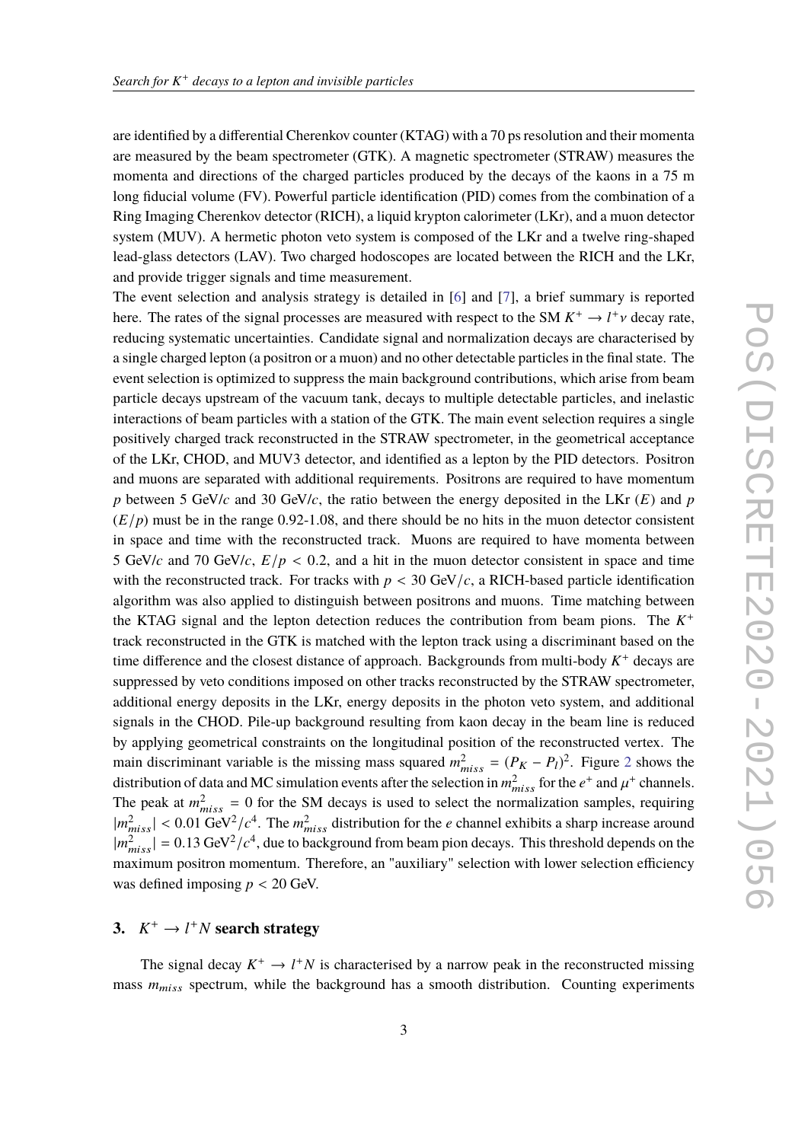are identified by a differential Cherenkov counter (KTAG) with a 70 ps resolution and their momenta are measured by the beam spectrometer (GTK). A magnetic spectrometer (STRAW) measures the momenta and directions of the charged particles produced by the decays of the kaons in a 75 m long fiducial volume (FV). Powerful particle identification (PID) comes from the combination of a Ring Imaging Cherenkov detector (RICH), a liquid krypton calorimeter (LKr), and a muon detector system (MUV). A hermetic photon veto system is composed of the LKr and a twelve ring-shaped lead-glass detectors (LAV). Two charged hodoscopes are located between the RICH and the LKr, and provide trigger signals and time measurement.

The event selection and analysis strategy is detailed in [\[6\]](#page-5-5) and [\[7\]](#page-5-6), a brief summary is reported here. The rates of the signal processes are measured with respect to the SM  $K^+ \to l^+ \nu$  decay rate, reducing systematic uncertainties. Candidate signal and normalization decays are characterised by a single charged lepton (a positron or a muon) and no other detectable particles in the final state. The event selection is optimized to suppress the main background contributions, which arise from beam particle decays upstream of the vacuum tank, decays to multiple detectable particles, and inelastic interactions of beam particles with a station of the GTK. The main event selection requires a single positively charged track reconstructed in the STRAW spectrometer, in the geometrical acceptance of the LKr, CHOD, and MUV3 detector, and identified as a lepton by the PID detectors. Positron and muons are separated with additional requirements. Positrons are required to have momentum *p* between 5 GeV/*c* and 30 GeV/*c*, the ratio between the energy deposited in the LKr (*E*) and *p*  $(E/p)$  must be in the range 0.92-1.08, and there should be no hits in the muon detector consistent in space and time with the reconstructed track. Muons are required to have momenta between 5 GeV/*c* and 70 GeV/*c*,  $E/p < 0.2$ , and a hit in the muon detector consistent in space and time with the reconstructed track. For tracks with  $p < 30$  GeV/ $c$ , a RICH-based particle identification algorithm was also applied to distinguish between positrons and muons. Time matching between the KTAG signal and the lepton detection reduces the contribution from beam pions. The  $K^+$ track reconstructed in the GTK is matched with the lepton track using a discriminant based on the time difference and the closest distance of approach. Backgrounds from multi-body  $K^+$  decays are suppressed by veto conditions imposed on other tracks reconstructed by the STRAW spectrometer, additional energy deposits in the LKr, energy deposits in the photon veto system, and additional signals in the CHOD. Pile-up background resulting from kaon decay in the beam line is reduced by applying geometrical constraints on the longitudinal position of the reconstructed vertex. The main discriminant variable is the missing mass squared  $m_{miss}^2 = (P_K - P_l)^2$  $m_{miss}^2 = (P_K - P_l)^2$  $m_{miss}^2 = (P_K - P_l)^2$ . Figure 2 shows the distribution of data and MC simulation events after the selection in  $m_{miss}^2$  for the  $e^+$  and  $\mu^+$  channels. The peak at  $m_{miss}^2 = 0$  for the SM decays is used to select the normalization samples, requiring  $|m_{miss}^2| < 0.01 \text{ GeV}^2/c^4$ . The  $m_{miss}^2$  distribution for the *e* channel exhibits a sharp increase around  $\frac{m_{miss}^2}{2}$  = 0.12 GeV<sub>2</sub> (cf. due to boolygesured from beam gian decays. This throughold depends on the  $|m_{miss}^2| = 0.13 \text{ GeV}^2/c^4$ , due to background from beam pion decays. This threshold depends on the negative proportion momentum. Therefore, on "ouviliant" calestian with lower calestian efficiency maximum positron momentum. Therefore, an "auxiliary" selection with lower selection efficiency was defined imposing  $p < 20$  GeV.

## **3.**  $K^+ \rightarrow l^+N$  **search strategy**

The signal decay  $K^+ \to l^+N$  is characterised by a narrow peak in the reconstructed missing mass  $m_{miss}$  spectrum, while the background has a smooth distribution. Counting experiments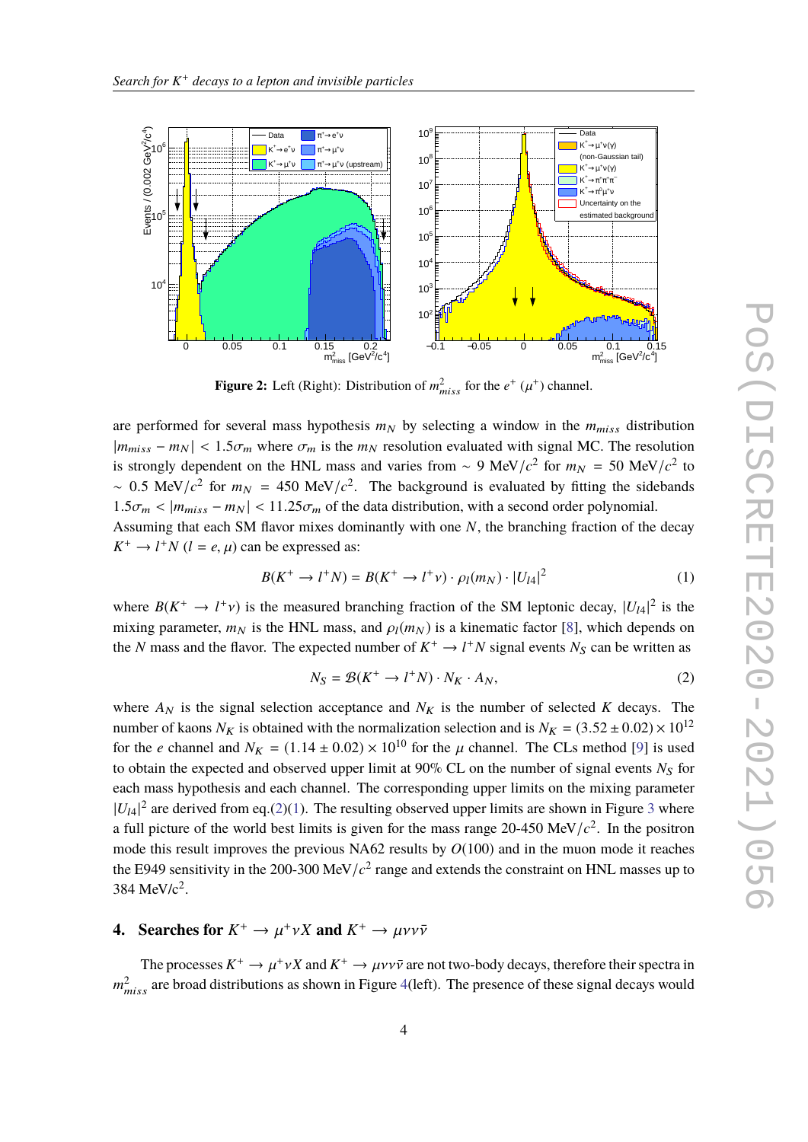<span id="page-3-0"></span>

**Figure 2:** Left (Right): Distribution of  $m_{miss}^2$  for the  $e^+$  ( $\mu^+$ ) channel.

are performed for several mass hypothesis  $m_N$  by selecting a window in the  $m_{miss}$  distribution  $|m_{miss} - m_N|$  < 1.5 $\sigma_m$  where  $\sigma_m$  is the  $m_N$  resolution evaluated with signal MC. The resolution is strongly dependent on the HNL mass and varies from ~ 9 MeV/ $c^2$  for  $m_N = 50$  MeV/ $c^2$  to ~ 0.5 MeV/ $c^2$  for  $m_N = 450$  MeV/ $c^2$ . The background is evaluated by fitting the sidebands  $1.5\sigma_m < |m_{miss} - m_N| < 11.25\sigma_m$  of the data distribution, with a second order polynomial. Assuming that each SM flavor mixes dominantly with one *N*, the branching fraction of the decay  $K^+ \to l^+N$  ( $l = e, \mu$ ) can be expressed as:

<span id="page-3-2"></span>
$$
B(K^{+} \to l^{+} N) = B(K^{+} \to l^{+} \nu) \cdot \rho_{l}(m_{N}) \cdot |U_{l4}|^{2}
$$
 (1)

where  $B(K^+ \to l^+ \nu)$  is the measured branching fraction of the SM leptonic decay,  $|U_{l4}|^2$  is the mixing personates  $m_{l}$  is the UNI mass and  $g(m_l)$  is a linearatio feator [8] which depends on mixing parameter,  $m_N$  is the HNL mass, and  $\rho_l(m_N)$  is a kinematic factor [\[8\]](#page-5-7), which depends on the *N* mass and the flavor. The expected number of  $K^+ \to l^+N$  signal events  $N_S$  can be written as

<span id="page-3-1"></span>
$$
N_S = \mathcal{B}(K^+ \to l^+ N) \cdot N_K \cdot A_N,\tag{2}
$$

where  $A_N$  is the signal selection acceptance and  $N_K$  is the number of selected K decays. The number of kaons  $N_K$  is obtained with the normalization selection and is  $N_K = (3.52 \pm 0.02) \times 10^{12}$ for the *e* channel and  $N_K = (1.14 \pm 0.02) \times 10^{10}$  for the  $\mu$  channel. The CLs method [\[9\]](#page-5-8) is used to obtain the expected and observed upper limit at  $90\%$  CL on the number of signal events  $N<sub>S</sub>$  for each mass hypothesis and each channel. The corresponding upper limits on the mixing parameter  $|U_{14}|^2$  are derived from eq.[\(2\)](#page-3-1)[\(1\)](#page-3-2). The resulting observed upper limits are shown in Figure [3](#page-4-0) where a full picture of the world best limits is given for the mass range  $20-450 \text{ MeV}/c^2$ . In the positron mode this result improves the previous NA62 results by *O*(100) and in the muon mode it reaches the E949 sensitivity in the 200-300 MeV/ $c^2$  range and extends the constraint on HNL masses up to  $384 \text{ MeV}/c^2$ .

# **4.** Searches for  $K^+ \to \mu^+ \nu X$  and  $K^+ \to \mu \nu \nu \bar{\nu}$

The processes  $K^+ \to \mu^+ \nu X$  and  $K^+ \to \mu \nu \nu \bar{\nu}$  are not two-body decays, therefore their spectra in  $m_{miss}^2$  are broad distributions as shown in Figure [4\(](#page-5-9)left). The presence of these signal decays would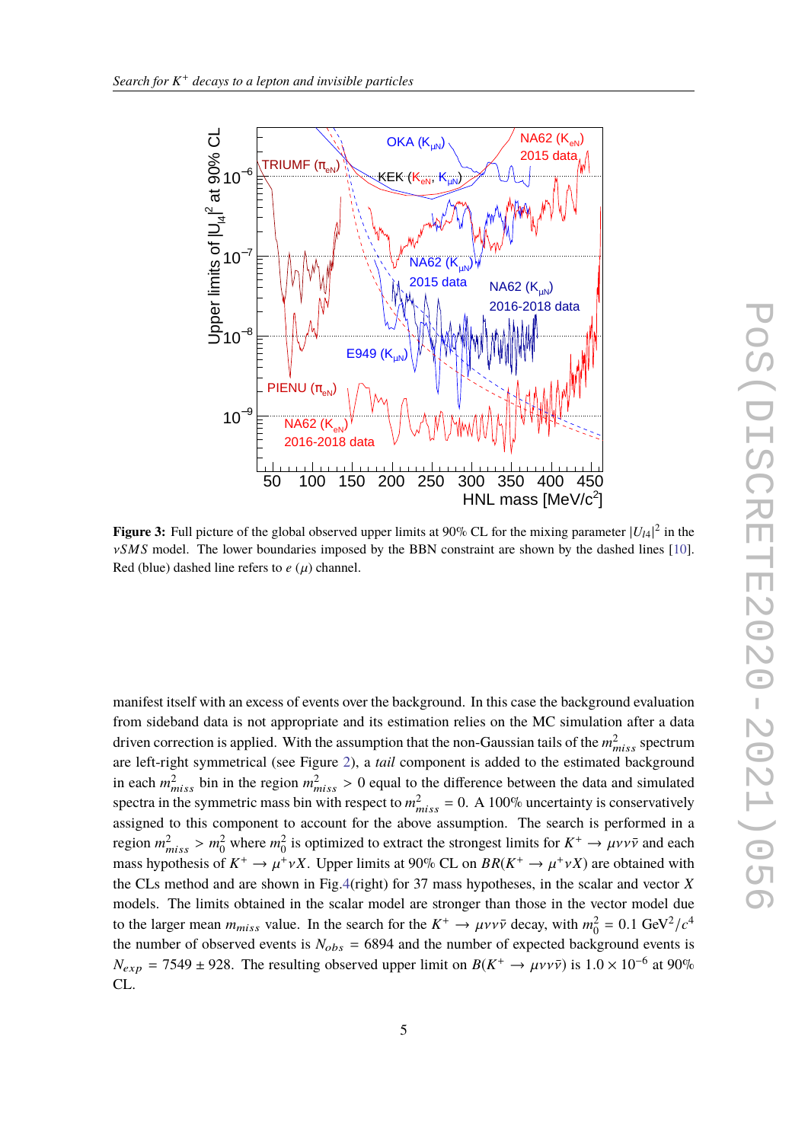<span id="page-4-0"></span>

**Figure 3:** Full picture of the global observed upper limits at 90% CL for the mixing parameter  $|U_{14}|^2$  in the ν*SMS* model. The lower boundaries imposed by the BBN constraint are shown by the dashed lines [\[10\]](#page-5-10). Red (blue) dashed line refers to  $e(\mu)$  channel.

manifest itself with an excess of events over the background. In this case the background evaluation from sideband data is not appropriate and its estimation relies on the MC simulation after a data driven correction is applied. With the assumption that the non-Gaussian tails of the  $m^2_{miss}$  spectrum are left-right symmetrical (see Figure [2\)](#page-3-0), a *tail* component is added to the estimated background in each  $m_{miss}^2$  bin in the region  $m_{miss}^2 > 0$  equal to the difference between the data and simulated appears in the cummatric mass his with generative  $m^2 = 0$ , A 100% upcontainty is concernatively spectra in the symmetric mass bin with respect to  $m_{miss}^2 = 0$ . A 100% uncertainty is conservatively assigned to this component to account for the above assumption. The search is performed in a region  $m_{miss}^2 > m_0^2$  where  $m_0^2$  is optimized to extract the strongest limits for  $K^+ \to \mu \nu \nu \bar{\nu}$  and each measurements of  $K^+ \to \mu \nu \nu \bar{\nu}$  and each measurements of  $K^+ \to \nu \tau \nu \nu \bar{\nu}$  and  $K^+ \to \nu \tau \nu \nu \bar{\nu}$ mass hypothesis of  $K^+ \to \mu^+ \nu X$ . Upper limits at 90% CL on *BR*( $K^+ \to \mu^+ \nu X$ ) are obtained with the CL constant of the color and vector  $X$ the CLs method and are shown in Fig[.4\(](#page-5-9)right) for 37 mass hypotheses, in the scalar and vector *X* models. The limits obtained in the scalar model are stronger than those in the vector model due to the larger mean  $m_{miss}$  value. In the search for the  $K^+ \to \mu \nu \nu \bar{\nu}$  decay, with  $m_0^2 = 0.1 \text{ GeV}^2/c^4$ <br>the number of absented worts is  $N_{\text{max}} = 6904$  and the number of streasted besizes and streast is the number of observed events is  $N_{obs} = 6894$  and the number of expected background events is  $N_{exp} = 7549 \pm 928$ . The resulting observed upper limit on  $B(K^+ \to \mu \nu \nu \bar{\nu})$  is  $1.0 \times 10^{-6}$  at 90% CL.